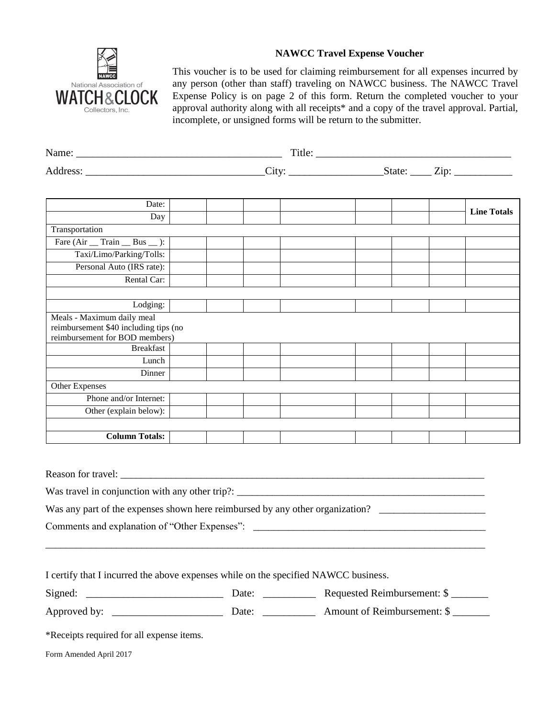

## **NAWCC Travel Expense Voucher**

This voucher is to be used for claiming reimbursement for all expenses incurred by any person (other than staff) traveling on NAWCC business. The NAWCC Travel Expense Policy is on page 2 of this form. Return the completed voucher to your approval authority along with all receipts\* and a copy of the travel approval. Partial, incomplete, or unsigned forms will be return to the submitter.

| Date:                                                                                                 |  | <b>Line Totals</b> |
|-------------------------------------------------------------------------------------------------------|--|--------------------|
| Day                                                                                                   |  |                    |
| Transportation                                                                                        |  |                    |
| Fare $(Air \tImes Train \tBox Bus \tImes ):$                                                          |  |                    |
| Taxi/Limo/Parking/Tolls:                                                                              |  |                    |
| Personal Auto (IRS rate):                                                                             |  |                    |
| Rental Car:                                                                                           |  |                    |
|                                                                                                       |  |                    |
| Lodging:                                                                                              |  |                    |
| Meals - Maximum daily meal<br>reimbursement \$40 including tips (no<br>reimbursement for BOD members) |  |                    |
| <b>Breakfast</b>                                                                                      |  |                    |
| Lunch                                                                                                 |  |                    |
| Dinner                                                                                                |  |                    |
| Other Expenses                                                                                        |  |                    |
| Phone and/or Internet:                                                                                |  |                    |
| Other (explain below):                                                                                |  |                    |
|                                                                                                       |  |                    |
| <b>Column Totals:</b>                                                                                 |  |                    |
|                                                                                                       |  |                    |
|                                                                                                       |  |                    |
|                                                                                                       |  |                    |
|                                                                                                       |  |                    |
| Was any part of the expenses shown here reimbursed by any other organization? ______________________  |  |                    |
| Comments and explanation of "Other Expenses": ___________________________________                     |  |                    |
|                                                                                                       |  |                    |

I certify that I incurred the above expenses while on the specified NAWCC business.

Signed: \_\_\_\_\_\_\_\_\_\_\_\_\_\_\_\_\_\_\_\_\_\_\_\_\_\_ Date: \_\_\_\_\_\_\_\_\_\_ Requested Reimbursement: \$ \_\_\_\_\_\_\_ Approved by: \_\_\_\_\_\_\_\_\_\_\_\_\_\_\_\_\_\_\_\_\_ Date: \_\_\_\_\_\_\_\_\_\_ Amount of Reimbursement: \$ \_\_\_\_\_\_\_

\*Receipts required for all expense items.

Form Amended April 2017